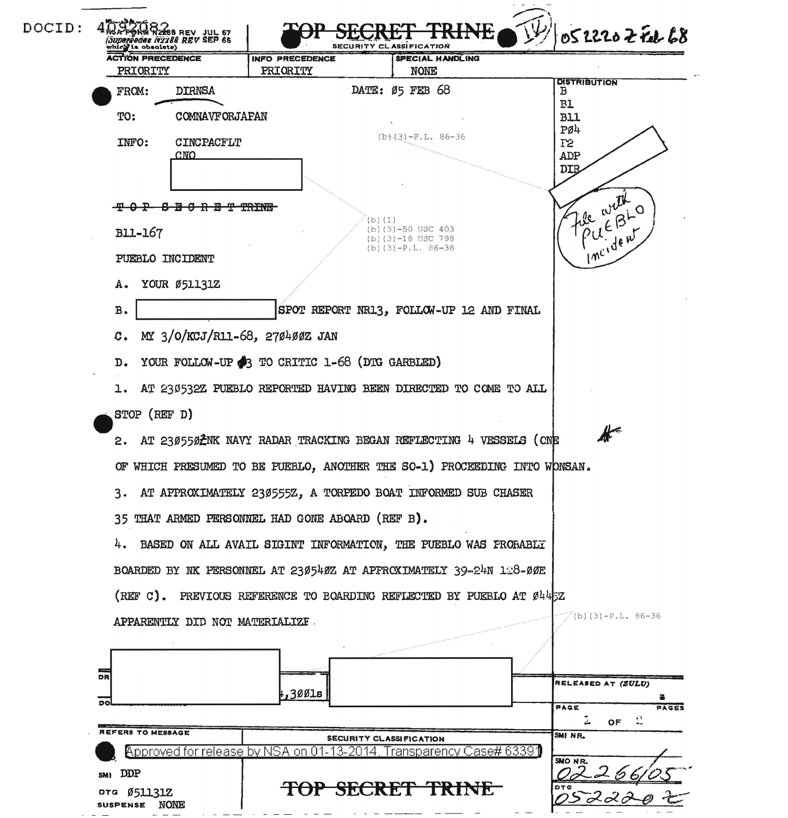| DOCID: | <b>RM W2288 REV JUL 67</b><br><i>(Juparaedes 142288 REV SEP 65</i><br>which is obsolete) |                                                                                               | 0522202 Feb 68<br><b>SECURITY CL</b><br><b>ASSIFICATION</b>         |                                          |                          |  |
|--------|------------------------------------------------------------------------------------------|-----------------------------------------------------------------------------------------------|---------------------------------------------------------------------|------------------------------------------|--------------------------|--|
|        | <b>ACTION PRECEDENCE</b>                                                                 |                                                                                               | <b>INFO PRECEDENCE</b>                                              | SPECIAL HANDLING                         |                          |  |
|        | PRIORITY<br>FROM:                                                                        | <b>DIRNSA</b>                                                                                 | PRIORITY                                                            | <b>NONE</b><br>DATE: 05 FEB 68           | <b>DISTRIBUTION</b><br>в |  |
|        |                                                                                          |                                                                                               |                                                                     | B1                                       |                          |  |
|        | TO:                                                                                      | <b>COMNAVFORJAFAN</b>                                                                         |                                                                     | $(b)$ (3) -P.L. 86-36                    | B11<br>PØ4               |  |
|        | INFO:                                                                                    | CINCPACFLT<br>CNO                                                                             |                                                                     |                                          | T2<br>ADP                |  |
|        |                                                                                          |                                                                                               |                                                                     |                                          | <b>DIB</b>               |  |
|        |                                                                                          |                                                                                               |                                                                     |                                          |                          |  |
|        | <b>B11-167</b>                                                                           |                                                                                               |                                                                     | (b) (1)<br>$(b)(3)-50$ USC 403           | he with<br>OUEBLO        |  |
|        | PUEBLO INCIDENT                                                                          |                                                                                               | $(b)$ (3) $-18$ USC 798<br>$(b)(3)-P.L. 86-36$                      |                                          | incident.                |  |
|        |                                                                                          |                                                                                               |                                                                     |                                          |                          |  |
|        | А.                                                                                       | YOUR Ø51131Z                                                                                  |                                                                     |                                          |                          |  |
|        | <b>B.</b>                                                                                |                                                                                               |                                                                     | SPOT REPORT NR13, FOLLOW-UP 12 AND FINAL |                          |  |
|        | MY 3/0/KCJ/R11-68, 270400Z JAN<br>$\mathbf{c}$ .                                         |                                                                                               |                                                                     |                                          |                          |  |
|        | YOUR FOLLOW-UP 3 TO CRITIC 1-68 (DTG GARBLED)<br>D.                                      |                                                                                               |                                                                     |                                          |                          |  |
|        |                                                                                          | AT 230532Z PUEBLO REPORTED HAVING BEEN DIRECTED TO COME TO ALL                                |                                                                     |                                          |                          |  |
|        |                                                                                          | STOP (REF D)                                                                                  |                                                                     |                                          |                          |  |
|        |                                                                                          | $\blacktriangleright$<br>2. AT 230550 ENK NAVY RADAR TRACKING BEGAN REFLECTING 4 VESSELS (ONE |                                                                     |                                          |                          |  |
|        |                                                                                          | OF WHICH PRESUMED TO BE PUEBLO, ANOTHER THE SO-1) PROCEEDING INTO WONSAN.                     |                                                                     |                                          |                          |  |
|        |                                                                                          | 3. AT APPROXIMATELY 230555Z, A TORPEDO BOAT INFORMED SUB CHASER                               |                                                                     |                                          |                          |  |
|        |                                                                                          | 35 THAT ARMED PERSONNEL HAD GONE ABOARD (REF B).                                              |                                                                     |                                          |                          |  |
|        |                                                                                          | 4. BASED ON ALL AVAIL SIGINT INFORMATION, THE PUEBLO WAS PROBABLY                             |                                                                     |                                          |                          |  |
|        | BOARDED BY NK PERSONNEL AT 230540Z AT APFROXIMATELY 39-24N 128-00E                       |                                                                                               |                                                                     |                                          |                          |  |
|        | (REF C). PREVIOUS REFERENCE TO BOARDING REFLECTED BY PUEBLO AT 0445Z                     |                                                                                               |                                                                     |                                          |                          |  |
|        | $(b)(3)-P.L. 86-36$<br>APPARENTLY DID NOT MATERIALIZE.                                   |                                                                                               |                                                                     |                                          |                          |  |
|        |                                                                                          |                                                                                               |                                                                     |                                          |                          |  |
|        | كالأناد                                                                                  |                                                                                               |                                                                     |                                          |                          |  |
|        | DR                                                                                       |                                                                                               | .,300ls                                                             |                                          | RELEASED AT (ZULU)       |  |
|        | DO                                                                                       |                                                                                               |                                                                     |                                          | PAGES<br>PAGE            |  |
|        | REFERS TO MESSAGE                                                                        |                                                                                               |                                                                     | SECURITY CLASSIFICATION                  | OF<br>SMINR.             |  |
|        |                                                                                          |                                                                                               | Approved for release by NSA on 01-13-2014, Transparency Case# 63391 |                                          | SMO NR.                  |  |
|        | SM1 DDP                                                                                  |                                                                                               |                                                                     | <del>TOP SECRET TRINE</del>              | DTG                      |  |
|        | DTG Ø51131Z<br>SUSPENSE NONE                                                             |                                                                                               |                                                                     |                                          |                          |  |